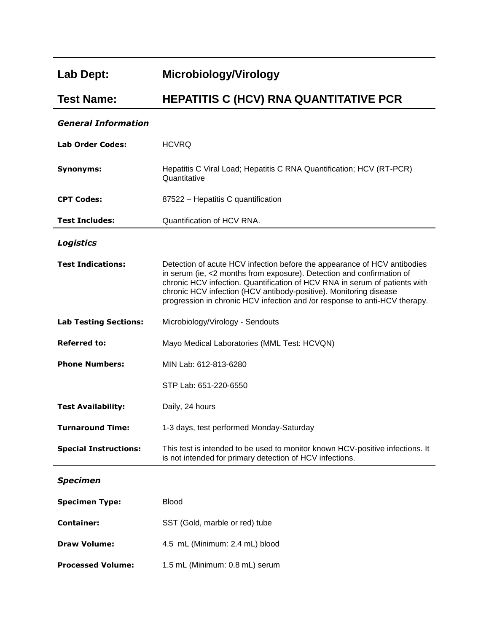## **Lab Dept: Microbiology/Virology**

**Processed Volume:** 1.5 mL (Minimum: 0.8 mL) serum

## **Test Name: HEPATITIS C (HCV) RNA QUANTITATIVE PCR**

## *General Information*

| <b>Lab Order Codes:</b>      | <b>HCVRQ</b>                                                                                                                                                                                                                                                                                                                                                                       |
|------------------------------|------------------------------------------------------------------------------------------------------------------------------------------------------------------------------------------------------------------------------------------------------------------------------------------------------------------------------------------------------------------------------------|
| <b>Synonyms:</b>             | Hepatitis C Viral Load; Hepatitis C RNA Quantification; HCV (RT-PCR)<br>Quantitative                                                                                                                                                                                                                                                                                               |
| <b>CPT Codes:</b>            | 87522 - Hepatitis C quantification                                                                                                                                                                                                                                                                                                                                                 |
| <b>Test Includes:</b>        | Quantification of HCV RNA.                                                                                                                                                                                                                                                                                                                                                         |
| <b>Logistics</b>             |                                                                                                                                                                                                                                                                                                                                                                                    |
| <b>Test Indications:</b>     | Detection of acute HCV infection before the appearance of HCV antibodies<br>in serum (ie, <2 months from exposure). Detection and confirmation of<br>chronic HCV infection. Quantification of HCV RNA in serum of patients with<br>chronic HCV infection (HCV antibody-positive). Monitoring disease<br>progression in chronic HCV infection and /or response to anti-HCV therapy. |
| <b>Lab Testing Sections:</b> | Microbiology/Virology - Sendouts                                                                                                                                                                                                                                                                                                                                                   |
| <b>Referred to:</b>          | Mayo Medical Laboratories (MML Test: HCVQN)                                                                                                                                                                                                                                                                                                                                        |
| <b>Phone Numbers:</b>        | MIN Lab: 612-813-6280                                                                                                                                                                                                                                                                                                                                                              |
|                              | STP Lab: 651-220-6550                                                                                                                                                                                                                                                                                                                                                              |
| <b>Test Availability:</b>    | Daily, 24 hours                                                                                                                                                                                                                                                                                                                                                                    |
| <b>Turnaround Time:</b>      | 1-3 days, test performed Monday-Saturday                                                                                                                                                                                                                                                                                                                                           |
| <b>Special Instructions:</b> | This test is intended to be used to monitor known HCV-positive infections. It<br>is not intended for primary detection of HCV infections.                                                                                                                                                                                                                                          |
| <b>Specimen</b>              |                                                                                                                                                                                                                                                                                                                                                                                    |
| <b>Specimen Type:</b>        | <b>Blood</b>                                                                                                                                                                                                                                                                                                                                                                       |
| <b>Container:</b>            | SST (Gold, marble or red) tube                                                                                                                                                                                                                                                                                                                                                     |
| <b>Draw Volume:</b>          | 4.5 mL (Minimum: 2.4 mL) blood                                                                                                                                                                                                                                                                                                                                                     |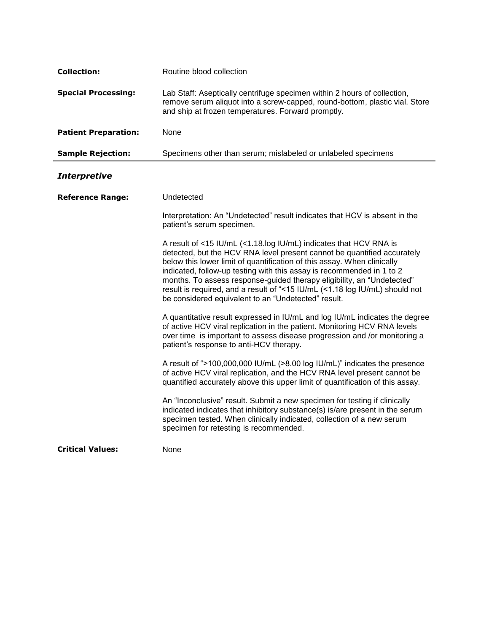| <b>Collection:</b>          | Routine blood collection                                                                                                                                                                                                                                                                                                                                                                                                                                                                                         |
|-----------------------------|------------------------------------------------------------------------------------------------------------------------------------------------------------------------------------------------------------------------------------------------------------------------------------------------------------------------------------------------------------------------------------------------------------------------------------------------------------------------------------------------------------------|
| <b>Special Processing:</b>  | Lab Staff: Aseptically centrifuge specimen within 2 hours of collection,<br>remove serum aliquot into a screw-capped, round-bottom, plastic vial. Store<br>and ship at frozen temperatures. Forward promptly.                                                                                                                                                                                                                                                                                                    |
| <b>Patient Preparation:</b> | None                                                                                                                                                                                                                                                                                                                                                                                                                                                                                                             |
| <b>Sample Rejection:</b>    | Specimens other than serum; mislabeled or unlabeled specimens                                                                                                                                                                                                                                                                                                                                                                                                                                                    |
| <b>Interpretive</b>         |                                                                                                                                                                                                                                                                                                                                                                                                                                                                                                                  |
| <b>Reference Range:</b>     | Undetected                                                                                                                                                                                                                                                                                                                                                                                                                                                                                                       |
|                             | Interpretation: An "Undetected" result indicates that HCV is absent in the<br>patient's serum specimen.                                                                                                                                                                                                                                                                                                                                                                                                          |
|                             | A result of <15 IU/mL (<1.18.log IU/mL) indicates that HCV RNA is<br>detected, but the HCV RNA level present cannot be quantified accurately<br>below this lower limit of quantification of this assay. When clinically<br>indicated, follow-up testing with this assay is recommended in 1 to 2<br>months. To assess response-guided therapy eligibility, an "Undetected"<br>result is required, and a result of "<15 IU/mL (<1.18 log IU/mL) should not<br>be considered equivalent to an "Undetected" result. |
|                             | A quantitative result expressed in IU/mL and log IU/mL indicates the degree<br>of active HCV viral replication in the patient. Monitoring HCV RNA levels<br>over time is important to assess disease progression and /or monitoring a<br>patient's response to anti-HCV therapy.                                                                                                                                                                                                                                 |
|                             | A result of ">100,000,000 IU/mL (>8.00 log IU/mL)" indicates the presence<br>of active HCV viral replication, and the HCV RNA level present cannot be<br>quantified accurately above this upper limit of quantification of this assay.                                                                                                                                                                                                                                                                           |
|                             | An "Inconclusive" result. Submit a new specimen for testing if clinically<br>indicated indicates that inhibitory substance(s) is/are present in the serum<br>specimen tested. When clinically indicated, collection of a new serum<br>specimen for retesting is recommended.                                                                                                                                                                                                                                     |
| <b>Critical Values:</b>     | None                                                                                                                                                                                                                                                                                                                                                                                                                                                                                                             |